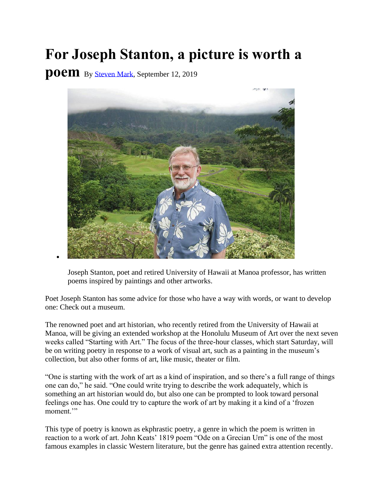## **For Joseph Stanton, a picture is worth a**

**poem** By [Steven Mark,](https://www.staradvertiser.com/author/smark/) September 12, 2019



Joseph Stanton, poet and retired University of Hawaii at Manoa professor, has written poems inspired by paintings and other artworks.

Poet Joseph Stanton has some advice for those who have a way with words, or want to develop one: Check out a museum.

The renowned poet and art historian, who recently retired from the University of Hawaii at Manoa, will be giving an extended workshop at the Honolulu Museum of Art over the next seven weeks called "Starting with Art." The focus of the three-hour classes, which start Saturday, will be on writing poetry in response to a work of visual art, such as a painting in the museum's collection, but also other forms of art, like music, theater or film.

"One is starting with the work of art as a kind of inspiration, and so there's a full range of things one can do," he said. "One could write trying to describe the work adequately, which is something an art historian would do, but also one can be prompted to look toward personal feelings one has. One could try to capture the work of art by making it a kind of a 'frozen moment."

This type of poetry is known as ekphrastic poetry, a genre in which the poem is written in reaction to a work of art. John Keats' 1819 poem "Ode on a Grecian Urn" is one of the most famous examples in classic Western literature, but the genre has gained extra attention recently.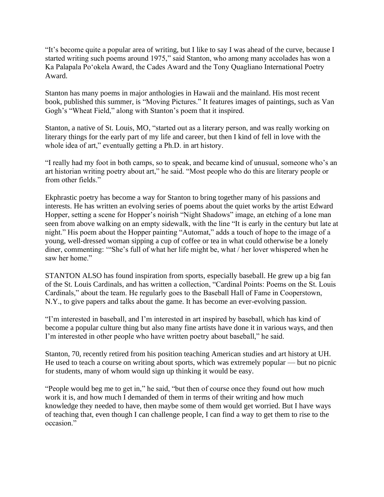"It's become quite a popular area of writing, but I like to say I was ahead of the curve, because I started writing such poems around 1975," said Stanton, who among many accolades has won a Ka Palapala Po'okela Award, the Cades Award and the Tony Quagliano International Poetry Award.

Stanton has many poems in major anthologies in Hawaii and the mainland. His most recent book, published this summer, is "Moving Pictures." It features images of paintings, such as Van Gogh's "Wheat Field," along with Stanton's poem that it inspired.

Stanton, a native of St. Louis, MO, "started out as a literary person, and was really working on literary things for the early part of my life and career, but then I kind of fell in love with the whole idea of art," eventually getting a Ph.D. in art history.

"I really had my foot in both camps, so to speak, and became kind of unusual, someone who's an art historian writing poetry about art," he said. "Most people who do this are literary people or from other fields."

Ekphrastic poetry has become a way for Stanton to bring together many of his passions and interests. He has written an evolving series of poems about the quiet works by the artist Edward Hopper, setting a scene for Hopper's noirish "Night Shadows" image, an etching of a lone man seen from above walking on an empty sidewalk, with the line "It is early in the century but late at night." His poem about the Hopper painting "Automat," adds a touch of hope to the image of a young, well-dressed woman sipping a cup of coffee or tea in what could otherwise be a lonely diner, commenting: "She's full of what her life might be, what / her lover whispered when he saw her home"

STANTON ALSO has found inspiration from sports, especially baseball. He grew up a big fan of the St. Louis Cardinals, and has written a collection, "Cardinal Points: Poems on the St. Louis Cardinals," about the team. He regularly goes to the Baseball Hall of Fame in Cooperstown, N.Y., to give papers and talks about the game. It has become an ever-evolving passion.

"I'm interested in baseball, and I'm interested in art inspired by baseball, which has kind of become a popular culture thing but also many fine artists have done it in various ways, and then I'm interested in other people who have written poetry about baseball," he said.

Stanton, 70, recently retired from his position teaching American studies and art history at UH. He used to teach a course on writing about sports, which was extremely popular — but no picnic for students, many of whom would sign up thinking it would be easy.

"People would beg me to get in," he said, "but then of course once they found out how much work it is, and how much I demanded of them in terms of their writing and how much knowledge they needed to have, then maybe some of them would get worried. But I have ways of teaching that, even though I can challenge people, I can find a way to get them to rise to the occasion."